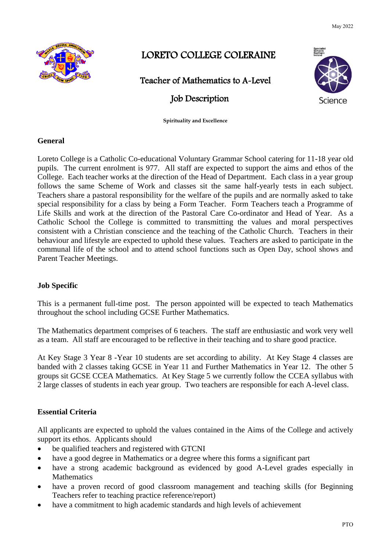May 2022



# LORETO COLLEGE COLERAINE

Teacher of Mathematics to A-Level

## Job Description

**Spirituality and Excellence**

## **General**

Loreto College is a Catholic Co-educational Voluntary Grammar School catering for 11-18 year old pupils. The current enrolment is 977. All staff are expected to support the aims and ethos of the College. Each teacher works at the direction of the Head of Department. Each class in a year group follows the same Scheme of Work and classes sit the same half-yearly tests in each subject. Teachers share a pastoral responsibility for the welfare of the pupils and are normally asked to take special responsibility for a class by being a Form Teacher. Form Teachers teach a Programme of Life Skills and work at the direction of the Pastoral Care Co-ordinator and Head of Year. As a Catholic School the College is committed to transmitting the values and moral perspectives consistent with a Christian conscience and the teaching of the Catholic Church. Teachers in their behaviour and lifestyle are expected to uphold these values. Teachers are asked to participate in the communal life of the school and to attend school functions such as Open Day, school shows and Parent Teacher Meetings.

## **Job Specific**

This is a permanent full-time post. The person appointed will be expected to teach Mathematics throughout the school including GCSE Further Mathematics.

The Mathematics department comprises of 6 teachers. The staff are enthusiastic and work very well as a team. All staff are encouraged to be reflective in their teaching and to share good practice.

At Key Stage 3 Year 8 -Year 10 students are set according to ability. At Key Stage 4 classes are banded with 2 classes taking GCSE in Year 11 and Further Mathematics in Year 12. The other 5 groups sit GCSE CCEA Mathematics. At Key Stage 5 we currently follow the CCEA syllabus with 2 large classes of students in each year group. Two teachers are responsible for each A-level class.

## **Essential Criteria**

All applicants are expected to uphold the values contained in the Aims of the College and actively support its ethos. Applicants should

- be qualified teachers and registered with GTCNI
- have a good degree in Mathematics or a degree where this forms a significant part
- have a strong academic background as evidenced by good A-Level grades especially in Mathematics
- have a proven record of good classroom management and teaching skills (for Beginning Teachers refer to teaching practice reference/report)
- have a commitment to high academic standards and high levels of achievement